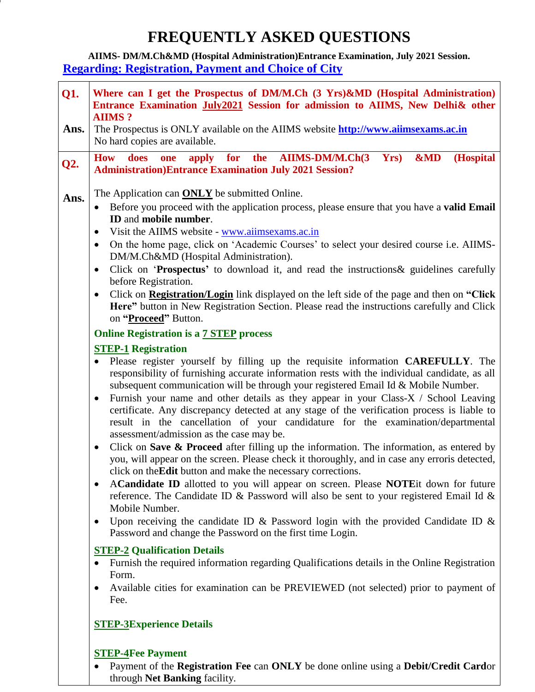## **FREQUENTLY ASKED QUESTIONS**

**AIIMS- DM/M.Ch&MD (Hospital Administration)Entrance Examination, July 2021 Session. Regarding: Registration, Payment and Choice of City** 

| Q1.<br>Ans. | Where can I get the Prospectus of DM/M.Ch (3 Yrs)&MD (Hospital Administration)<br>Entrance Examination July2021 Session for admission to AIIMS, New Delhi& other<br><b>AIIMS?</b><br>The Prospectus is ONLY available on the AIIMS website <b>http://www.aiimsexams.ac.in</b>                                                                                                                                                                                                                                                                                                                                                                                                                                                                                                                                                                                                                                                                                                                                                                                                                                                                                                                                                                                                                                                                                                                                                                                                                                                                                                                                                                                                                                                                                                                                                                                                                                                                                                                                                                                                                             |
|-------------|-----------------------------------------------------------------------------------------------------------------------------------------------------------------------------------------------------------------------------------------------------------------------------------------------------------------------------------------------------------------------------------------------------------------------------------------------------------------------------------------------------------------------------------------------------------------------------------------------------------------------------------------------------------------------------------------------------------------------------------------------------------------------------------------------------------------------------------------------------------------------------------------------------------------------------------------------------------------------------------------------------------------------------------------------------------------------------------------------------------------------------------------------------------------------------------------------------------------------------------------------------------------------------------------------------------------------------------------------------------------------------------------------------------------------------------------------------------------------------------------------------------------------------------------------------------------------------------------------------------------------------------------------------------------------------------------------------------------------------------------------------------------------------------------------------------------------------------------------------------------------------------------------------------------------------------------------------------------------------------------------------------------------------------------------------------------------------------------------------------|
|             | No hard copies are available.<br>AIIMS-DM/M.Ch(3<br>Yrs)<br>&MD<br>(Hospital<br>does<br>for<br>the<br><b>How</b><br>apply<br>one                                                                                                                                                                                                                                                                                                                                                                                                                                                                                                                                                                                                                                                                                                                                                                                                                                                                                                                                                                                                                                                                                                                                                                                                                                                                                                                                                                                                                                                                                                                                                                                                                                                                                                                                                                                                                                                                                                                                                                          |
| Q2.         | <b>Administration)Entrance Examination July 2021 Session?</b>                                                                                                                                                                                                                                                                                                                                                                                                                                                                                                                                                                                                                                                                                                                                                                                                                                                                                                                                                                                                                                                                                                                                                                                                                                                                                                                                                                                                                                                                                                                                                                                                                                                                                                                                                                                                                                                                                                                                                                                                                                             |
| Ans.        | The Application can <b>ONLY</b> be submitted Online.<br>Before you proceed with the application process, please ensure that you have a valid Email<br>ID and mobile number.<br>Visit the AIIMS website - www.aiimsexams.ac.in<br>$\bullet$<br>On the home page, click on 'Academic Courses' to select your desired course i.e. AIIMS-<br>٠<br>DM/M.Ch&MD (Hospital Administration).<br>Click on 'Prospectus' to download it, and read the instructions& guidelines carefully<br>$\bullet$<br>before Registration.<br>Click on <b>Registration/Login</b> link displayed on the left side of the page and then on "Click"<br>$\bullet$<br>Here" button in New Registration Section. Please read the instructions carefully and Click<br>on "Proceed" Button.<br><b>Online Registration is a 7 STEP process</b><br><b>STEP-1 Registration</b><br>Please register yourself by filling up the requisite information <b>CAREFULLY</b> . The<br>$\bullet$<br>responsibility of furnishing accurate information rests with the individual candidate, as all<br>subsequent communication will be through your registered Email Id & Mobile Number.<br>Furnish your name and other details as they appear in your Class-X / School Leaving<br>$\bullet$<br>certificate. Any discrepancy detected at any stage of the verification process is liable to<br>result in the cancellation of your candidature for the examination/departmental<br>assessment/admission as the case may be.<br>Click on Save & Proceed after filling up the information. The information, as entered by<br>you, will appear on the screen. Please check it thoroughly, and in case any erroris detected,<br>click on the Edit button and make the necessary corrections.<br>ACandidate ID allotted to you will appear on screen. Please NOTEit down for future<br>reference. The Candidate ID & Password will also be sent to your registered Email Id &<br>Mobile Number.<br>Upon receiving the candidate ID & Password login with the provided Candidate ID &<br>$\bullet$<br>Password and change the Password on the first time Login. |
|             | <b>STEP-2 Qualification Details</b><br>Furnish the required information regarding Qualifications details in the Online Registration                                                                                                                                                                                                                                                                                                                                                                                                                                                                                                                                                                                                                                                                                                                                                                                                                                                                                                                                                                                                                                                                                                                                                                                                                                                                                                                                                                                                                                                                                                                                                                                                                                                                                                                                                                                                                                                                                                                                                                       |
|             | Form.<br>Available cities for examination can be PREVIEWED (not selected) prior to payment of<br>Fee.                                                                                                                                                                                                                                                                                                                                                                                                                                                                                                                                                                                                                                                                                                                                                                                                                                                                                                                                                                                                                                                                                                                                                                                                                                                                                                                                                                                                                                                                                                                                                                                                                                                                                                                                                                                                                                                                                                                                                                                                     |
|             | <b>STEP-3Experience Details</b>                                                                                                                                                                                                                                                                                                                                                                                                                                                                                                                                                                                                                                                                                                                                                                                                                                                                                                                                                                                                                                                                                                                                                                                                                                                                                                                                                                                                                                                                                                                                                                                                                                                                                                                                                                                                                                                                                                                                                                                                                                                                           |

## **STEP-4Fee Payment**

 Payment of the **Registration Fee** can **ONLY** be done online using a **Debit/Credit Card**or through **Net Banking** facility.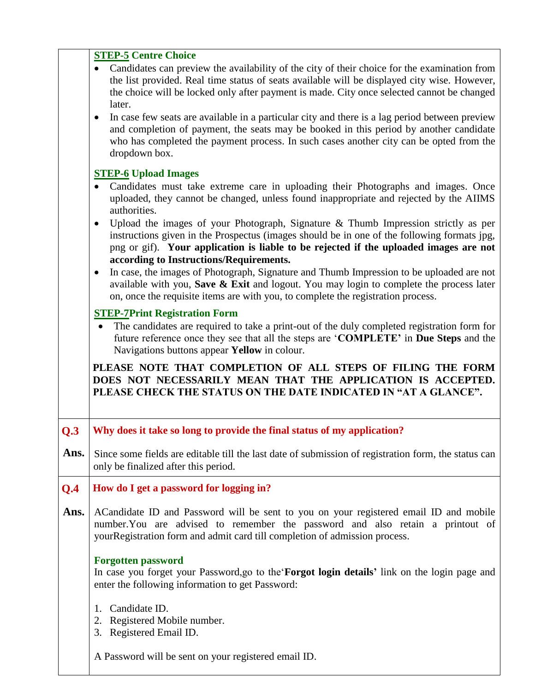|                            | <b>STEP-5 Centre Choice</b>                                                                                                                                                                                                                                                                                                                                                                                                                                                                                                                                                                                                    |
|----------------------------|--------------------------------------------------------------------------------------------------------------------------------------------------------------------------------------------------------------------------------------------------------------------------------------------------------------------------------------------------------------------------------------------------------------------------------------------------------------------------------------------------------------------------------------------------------------------------------------------------------------------------------|
|                            | Candidates can preview the availability of the city of their choice for the examination from<br>$\bullet$<br>the list provided. Real time status of seats available will be displayed city wise. However,<br>the choice will be locked only after payment is made. City once selected cannot be changed<br>later.<br>In case few seats are available in a particular city and there is a lag period between preview<br>٠<br>and completion of payment, the seats may be booked in this period by another candidate<br>who has completed the payment process. In such cases another city can be opted from the<br>dropdown box. |
|                            | <b>STEP-6</b> Upload Images                                                                                                                                                                                                                                                                                                                                                                                                                                                                                                                                                                                                    |
|                            | Candidates must take extreme care in uploading their Photographs and images. Once<br>uploaded, they cannot be changed, unless found inappropriate and rejected by the AIIMS<br>authorities.                                                                                                                                                                                                                                                                                                                                                                                                                                    |
|                            | Upload the images of your Photograph, Signature & Thumb Impression strictly as per<br>instructions given in the Prospectus (images should be in one of the following formats jpg,<br>png or gif). Your application is liable to be rejected if the uploaded images are not<br>according to Instructions/Requirements.                                                                                                                                                                                                                                                                                                          |
|                            | In case, the images of Photograph, Signature and Thumb Impression to be uploaded are not<br>$\bullet$<br>available with you, Save $\&$ Exit and logout. You may login to complete the process later<br>on, once the requisite items are with you, to complete the registration process.                                                                                                                                                                                                                                                                                                                                        |
|                            | <b>STEP-7Print Registration Form</b>                                                                                                                                                                                                                                                                                                                                                                                                                                                                                                                                                                                           |
|                            | The candidates are required to take a print-out of the duly completed registration form for                                                                                                                                                                                                                                                                                                                                                                                                                                                                                                                                    |
|                            | future reference once they see that all the steps are 'COMPLETE' in Due Steps and the<br>Navigations buttons appear Yellow in colour.                                                                                                                                                                                                                                                                                                                                                                                                                                                                                          |
|                            | PLEASE NOTE THAT COMPLETION OF ALL STEPS OF FILING THE FORM<br>DOES NOT NECESSARILY MEAN THAT THE APPLICATION IS ACCEPTED.<br>PLEASE CHECK THE STATUS ON THE DATE INDICATED IN "AT A GLANCE".                                                                                                                                                                                                                                                                                                                                                                                                                                  |
|                            | Why does it take so long to provide the final status of my application?                                                                                                                                                                                                                                                                                                                                                                                                                                                                                                                                                        |
|                            | Since some fields are editable till the last date of submission of registration form, the status can<br>only be finalized after this period.                                                                                                                                                                                                                                                                                                                                                                                                                                                                                   |
|                            | How do I get a password for logging in?                                                                                                                                                                                                                                                                                                                                                                                                                                                                                                                                                                                        |
|                            | ACandidate ID and Password will be sent to you on your registered email ID and mobile<br>number. You are advised to remember the password and also retain a printout of<br>yourRegistration form and admit card till completion of admission process.                                                                                                                                                                                                                                                                                                                                                                          |
| Q.3<br>Ans.<br>Q.4<br>Ans. | <b>Forgotten password</b><br>In case you forget your Password, go to the <b>Forgot login details</b> ' link on the login page and<br>enter the following information to get Password:                                                                                                                                                                                                                                                                                                                                                                                                                                          |
|                            | Candidate ID.<br>1.<br>Registered Mobile number.<br>2.<br>Registered Email ID.<br>3.                                                                                                                                                                                                                                                                                                                                                                                                                                                                                                                                           |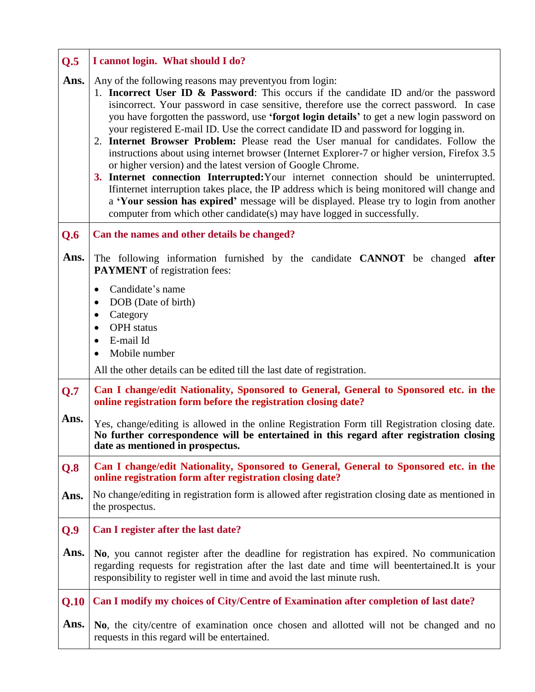| Q.5  | I cannot login. What should I do?                                                                                                                                                                                                                                                                                                                                                                                                                                                                                                                                                                                                                                                                                                                                                                                                                                                                                                                                                                                                                                         |
|------|---------------------------------------------------------------------------------------------------------------------------------------------------------------------------------------------------------------------------------------------------------------------------------------------------------------------------------------------------------------------------------------------------------------------------------------------------------------------------------------------------------------------------------------------------------------------------------------------------------------------------------------------------------------------------------------------------------------------------------------------------------------------------------------------------------------------------------------------------------------------------------------------------------------------------------------------------------------------------------------------------------------------------------------------------------------------------|
| Ans. | Any of the following reasons may preventy ou from login:<br>1. <b>Incorrect User ID &amp; Password</b> : This occurs if the candidate ID and/or the password<br>is incorrect. Your password in case sensitive, therefore use the correct password. In case<br>you have forgotten the password, use 'forgot login details' to get a new login password on<br>your registered E-mail ID. Use the correct candidate ID and password for logging in.<br>2. Internet Browser Problem: Please read the User manual for candidates. Follow the<br>instructions about using internet browser (Internet Explorer-7 or higher version, Firefox 3.5)<br>or higher version) and the latest version of Google Chrome.<br>3. Internet connection Interrupted: Your internet connection should be uninterrupted.<br>If internet interruption takes place, the IP address which is being monitored will change and<br>a 'Your session has expired' message will be displayed. Please try to login from another<br>computer from which other candidate(s) may have logged in successfully. |
| Q.6  | Can the names and other details be changed?                                                                                                                                                                                                                                                                                                                                                                                                                                                                                                                                                                                                                                                                                                                                                                                                                                                                                                                                                                                                                               |
| Ans. | The following information furnished by the candidate CANNOT be changed after<br><b>PAYMENT</b> of registration fees:                                                                                                                                                                                                                                                                                                                                                                                                                                                                                                                                                                                                                                                                                                                                                                                                                                                                                                                                                      |
|      | Candidate's name<br>$\bullet$<br>DOB (Date of birth)<br>$\bullet$<br>Category<br>٠<br><b>OPH</b> status<br>$\bullet$<br>E-mail Id<br>$\bullet$<br>Mobile number                                                                                                                                                                                                                                                                                                                                                                                                                                                                                                                                                                                                                                                                                                                                                                                                                                                                                                           |
|      | All the other details can be edited till the last date of registration.                                                                                                                                                                                                                                                                                                                                                                                                                                                                                                                                                                                                                                                                                                                                                                                                                                                                                                                                                                                                   |
| Q.7  | Can I change/edit Nationality, Sponsored to General, General to Sponsored etc. in the<br>online registration form before the registration closing date?                                                                                                                                                                                                                                                                                                                                                                                                                                                                                                                                                                                                                                                                                                                                                                                                                                                                                                                   |
| Ans. | Yes, change/editing is allowed in the online Registration Form till Registration closing date.<br>No further correspondence will be entertained in this regard after registration closing<br>date as mentioned in prospectus.                                                                                                                                                                                                                                                                                                                                                                                                                                                                                                                                                                                                                                                                                                                                                                                                                                             |
| Q.8  | Can I change/edit Nationality, Sponsored to General, General to Sponsored etc. in the<br>online registration form after registration closing date?                                                                                                                                                                                                                                                                                                                                                                                                                                                                                                                                                                                                                                                                                                                                                                                                                                                                                                                        |
| Ans. | No change/editing in registration form is allowed after registration closing date as mentioned in<br>the prospectus.                                                                                                                                                                                                                                                                                                                                                                                                                                                                                                                                                                                                                                                                                                                                                                                                                                                                                                                                                      |
| Q.9  | Can I register after the last date?                                                                                                                                                                                                                                                                                                                                                                                                                                                                                                                                                                                                                                                                                                                                                                                                                                                                                                                                                                                                                                       |
| Ans. | No, you cannot register after the deadline for registration has expired. No communication<br>regarding requests for registration after the last date and time will beentertained. It is your<br>responsibility to register well in time and avoid the last minute rush.                                                                                                                                                                                                                                                                                                                                                                                                                                                                                                                                                                                                                                                                                                                                                                                                   |
| Q.10 | Can I modify my choices of City/Centre of Examination after completion of last date?                                                                                                                                                                                                                                                                                                                                                                                                                                                                                                                                                                                                                                                                                                                                                                                                                                                                                                                                                                                      |
| Ans. | No, the city/centre of examination once chosen and allotted will not be changed and no<br>requests in this regard will be entertained.                                                                                                                                                                                                                                                                                                                                                                                                                                                                                                                                                                                                                                                                                                                                                                                                                                                                                                                                    |

 $\mathbf{r}$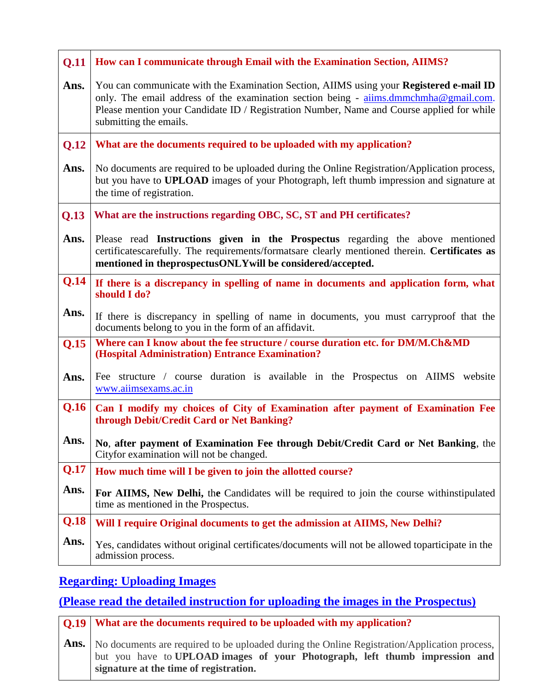| Q.11 | How can I communicate through Email with the Examination Section, AIIMS?                                                                                                                                                                                                                               |
|------|--------------------------------------------------------------------------------------------------------------------------------------------------------------------------------------------------------------------------------------------------------------------------------------------------------|
| Ans. | You can communicate with the Examination Section, AIIMS using your Registered e-mail ID<br>only. The email address of the examination section being - aiims.dmmchmha@gmail.com.<br>Please mention your Candidate ID / Registration Number, Name and Course applied for while<br>submitting the emails. |
| Q.12 | What are the documents required to be uploaded with my application?                                                                                                                                                                                                                                    |
| Ans. | No documents are required to be uploaded during the Online Registration/Application process,<br>but you have to <b>UPLOAD</b> images of your Photograph, left thumb impression and signature at<br>the time of registration.                                                                           |
| Q.13 | What are the instructions regarding OBC, SC, ST and PH certificates?                                                                                                                                                                                                                                   |
| Ans. | Please read Instructions given in the Prospectus regarding the above mentioned<br>certificatescarefully. The requirements/formatsare clearly mentioned therein. Certificates as<br>mentioned in theprospectusONLYwill be considered/accepted.                                                          |
| Q.14 | If there is a discrepancy in spelling of name in documents and application form, what<br>should I do?                                                                                                                                                                                                  |
| Ans. | If there is discrepancy in spelling of name in documents, you must carryproof that the<br>documents belong to you in the form of an affidavit.                                                                                                                                                         |
| Q.15 | Where can I know about the fee structure / course duration etc. for DM/M.Ch&MD<br>(Hospital Administration) Entrance Examination?                                                                                                                                                                      |
| Ans. | Fee structure / course duration is available in the Prospectus on AIIMS website<br>www.aiimsexams.ac.in                                                                                                                                                                                                |
| Q.16 | Can I modify my choices of City of Examination after payment of Examination Fee<br>through Debit/Credit Card or Net Banking?                                                                                                                                                                           |
| Ans. | No, after payment of Examination Fee through Debit/Credit Card or Net Banking, the<br>Cityfor examination will not be changed.                                                                                                                                                                         |
| Q.17 | How much time will I be given to join the allotted course?                                                                                                                                                                                                                                             |
| Ans. | For AIIMS, New Delhi, the Candidates will be required to join the course withinstipulated<br>time as mentioned in the Prospectus.                                                                                                                                                                      |
| Q.18 | Will I require Original documents to get the admission at AIIMS, New Delhi?                                                                                                                                                                                                                            |
| Ans. | Yes, candidates without original certificates/documents will not be allowed toparticipate in the<br>admission process.                                                                                                                                                                                 |

## **Regarding: Uploading Images**

## **(Please read the detailed instruction for uploading the images in the Prospectus)**

**Q.19 Ans. What are the documents required to be uploaded with my application?** No documents are required to be uploaded during the Online Registration/Application process, but you have to **UPLOAD images of your Photograph, left thumb impression and signature at the time of registration.**